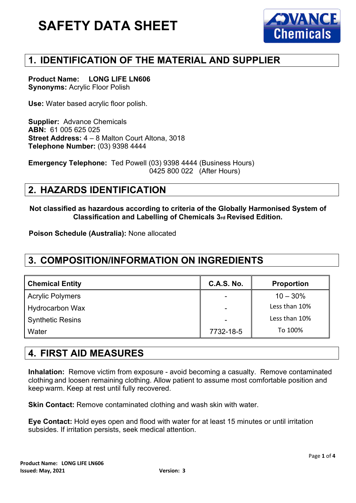

# **1. IDENTIFICATION OF THE MATERIAL AND SUPPLIER**

**Product Name: LONG LIFE LN606 Synonyms:** Acrylic Floor Polish

**Use:** Water based acrylic floor polish.

**Supplier:** Advance Chemicals **ABN:** 61 005 625 025 **Street Address:** 4 – 8 Malton Court Altona, 3018 **Telephone Number:** (03) 9398 4444

**Emergency Telephone:** Ted Powell (03) 9398 4444 (Business Hours) 0425 800 022 (After Hours)

#### **2. HAZARDS IDENTIFICATION**

**Not classified as hazardous according to criteria of the Globally Harmonised System of Classification and Labelling of Chemicals 3rd Revised Edition.**

**Poison Schedule (Australia):** None allocated

## **3. COMPOSITION/INFORMATION ON INGREDIENTS**

| <b>Chemical Entity</b>  | <b>C.A.S. No.</b>        | <b>Proportion</b> |
|-------------------------|--------------------------|-------------------|
| <b>Acrylic Polymers</b> | $\overline{\phantom{a}}$ | $10 - 30\%$       |
| <b>Hydrocarbon Wax</b>  | $\overline{\phantom{a}}$ | Less than 10%     |
| <b>Synthetic Resins</b> | $\overline{\phantom{a}}$ | Less than 10%     |
| Water                   | 7732-18-5                | To 100%           |
|                         |                          |                   |

## **4. FIRST AID MEASURES**

**Inhalation:** Remove victim from exposure - avoid becoming a casualty. Remove contaminated clothing and loosen remaining clothing. Allow patient to assume most comfortable position and keep warm. Keep at rest until fully recovered.

**Skin Contact:** Remove contaminated clothing and wash skin with water.

**Eye Contact:** Hold eyes open and flood with water for at least 15 minutes or until irritation subsides. If irritation persists, seek medical attention.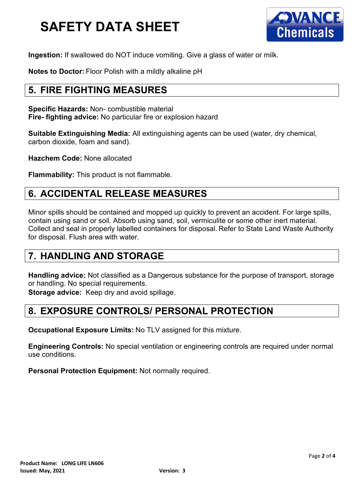

**Ingestion:** If swallowed do NOT induce vomiting. Give a glass of water or milk.

**Notes to Doctor:** Floor Polish with a mildly alkaline pH

## **5. FIRE FIGHTING MEASURES**

**Specific Hazards:** Non- combustible material **Fire- fighting advice:** No particular fire or explosion hazard

**Suitable Extinguishing Media:** All extinguishing agents can be used (water, dry chemical, carbon dioxide, foam and sand).

**Hazchem Code:** None allocated

**Flammability:** This product is not flammable.

## **6. ACCIDENTAL RELEASE MEASURES**

Minor spills should be contained and mopped up quickly to prevent an accident. For large spills, contain using sand or soil. Absorb using sand, soil, vermiculite or some other inert material. Collect and seal in properly labelled containers for disposal. Refer to State Land Waste Authority for disposal. Flush area with water.

#### **7. HANDLING AND STORAGE**

**Handling advice:** Not classified as a Dangerous substance for the purpose of transport, storage or handling. No special requirements.

**Storage advice:** Keep dry and avoid spillage.

## **8. EXPOSURE CONTROLS/ PERSONAL PROTECTION**

**Occupational Exposure Limits:** No TLV assigned for this mixture.

**Engineering Controls:** No special ventilation or engineering controls are required under normal use conditions.

**Personal Protection Equipment:** Not normally required.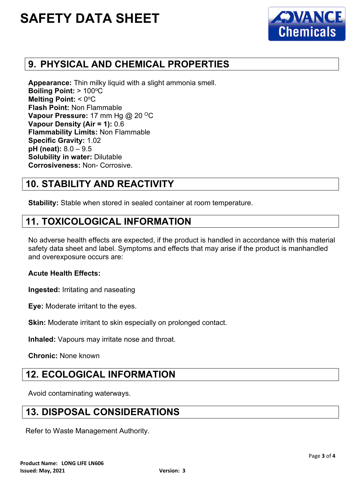

## **9. PHYSICAL AND CHEMICAL PROPERTIES**

**Appearance:** Thin milky liquid with a slight ammonia smell. **Boiling Point: > 100°C Melting Point: < 0°C Flash Point:** Non Flammable **Vapour Pressure:** 17 mm Hg @ 20 °C **Vapour Density (Air = 1):** 0.6 **Flammability Limits:** Non Flammable **Specific Gravity:** 1.02 **pH (neat):** 8.0 – 9.5 **Solubility in water:** Dilutable **Corrosiveness:** Non- Corrosive.

## **10. STABILITY AND REACTIVITY**

**Stability:** Stable when stored in sealed container at room temperature.

#### **11. TOXICOLOGICAL INFORMATION**

No adverse health effects are expected, if the product is handled in accordance with this material safety data sheet and label. Symptoms and effects that may arise if the product is manhandled and overexposure occurs are:

#### **Acute Health Effects:**

**Ingested:** Irritating and naseating

**Eye:** Moderate irritant to the eyes.

**Skin:** Moderate irritant to skin especially on prolonged contact.

**Inhaled:** Vapours may irritate nose and throat.

**Chronic:** None known

#### **12. ECOLOGICAL INFORMATION**

Avoid contaminating waterways.

#### **13. DISPOSAL CONSIDERATIONS**

Refer to Waste Management Authority.